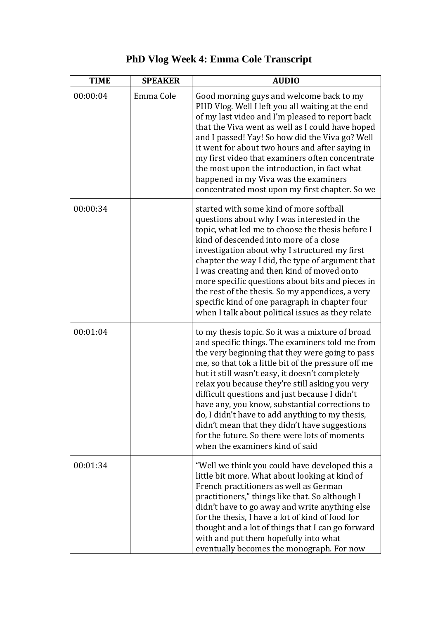| <b>TIME</b> | <b>SPEAKER</b> | <b>AUDIO</b>                                                                                                                                                                                                                                                                                                                                                                                                                                                                                                                                                                                                   |
|-------------|----------------|----------------------------------------------------------------------------------------------------------------------------------------------------------------------------------------------------------------------------------------------------------------------------------------------------------------------------------------------------------------------------------------------------------------------------------------------------------------------------------------------------------------------------------------------------------------------------------------------------------------|
| 00:00:04    | Emma Cole      | Good morning guys and welcome back to my<br>PHD Vlog. Well I left you all waiting at the end<br>of my last video and I'm pleased to report back<br>that the Viva went as well as I could have hoped<br>and I passed! Yay! So how did the Viva go? Well<br>it went for about two hours and after saying in<br>my first video that examiners often concentrate<br>the most upon the introduction, in fact what<br>happened in my Viva was the examiners<br>concentrated most upon my first chapter. So we                                                                                                        |
| 00:00:34    |                | started with some kind of more softball<br>questions about why I was interested in the<br>topic, what led me to choose the thesis before I<br>kind of descended into more of a close<br>investigation about why I structured my first<br>chapter the way I did, the type of argument that<br>I was creating and then kind of moved onto<br>more specific questions about bits and pieces in<br>the rest of the thesis. So my appendices, a very<br>specific kind of one paragraph in chapter four<br>when I talk about political issues as they relate                                                         |
| 00:01:04    |                | to my thesis topic. So it was a mixture of broad<br>and specific things. The examiners told me from<br>the very beginning that they were going to pass<br>me, so that tok a little bit of the pressure off me<br>but it still wasn't easy, it doesn't completely<br>relax you because they're still asking you very<br>difficult questions and just because I didn't<br>have any, you know, substantial corrections to<br>do, I didn't have to add anything to my thesis,<br>didn't mean that they didn't have suggestions<br>for the future. So there were lots of moments<br>when the examiners kind of said |
| 00:01:34    |                | "Well we think you could have developed this a<br>little bit more. What about looking at kind of<br>French practitioners as well as German<br>practitioners," things like that. So although I<br>didn't have to go away and write anything else<br>for the thesis, I have a lot of kind of food for<br>thought and a lot of things that I can go forward<br>with and put them hopefully into what<br>eventually becomes the monograph. For now                                                                                                                                                                 |

## **PhD Vlog Week 4: Emma Cole Transcript**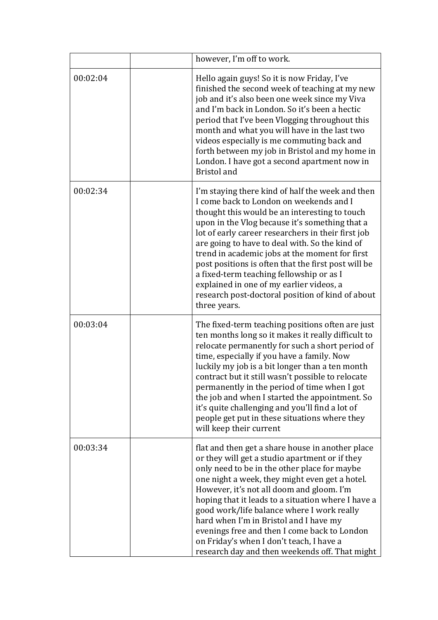|          | however, I'm off to work.                                                                                                                                                                                                                                                                                                                                                                                                                                                                                                                                                   |
|----------|-----------------------------------------------------------------------------------------------------------------------------------------------------------------------------------------------------------------------------------------------------------------------------------------------------------------------------------------------------------------------------------------------------------------------------------------------------------------------------------------------------------------------------------------------------------------------------|
| 00:02:04 | Hello again guys! So it is now Friday, I've<br>finished the second week of teaching at my new<br>job and it's also been one week since my Viva<br>and I'm back in London. So it's been a hectic<br>period that I've been Vlogging throughout this<br>month and what you will have in the last two<br>videos especially is me commuting back and<br>forth between my job in Bristol and my home in<br>London. I have got a second apartment now in<br><b>Bristol</b> and                                                                                                     |
| 00:02:34 | I'm staying there kind of half the week and then<br>I come back to London on weekends and I<br>thought this would be an interesting to touch<br>upon in the Vlog because it's something that a<br>lot of early career researchers in their first job<br>are going to have to deal with. So the kind of<br>trend in academic jobs at the moment for first<br>post positions is often that the first post will be<br>a fixed-term teaching fellowship or as I<br>explained in one of my earlier videos, a<br>research post-doctoral position of kind of about<br>three years. |
| 00:03:04 | The fixed-term teaching positions often are just<br>ten months long so it makes it really difficult to<br>relocate permanently for such a short period of<br>time, especially if you have a family. Now<br>luckily my job is a bit longer than a ten month<br>contract but it still wasn't possible to relocate<br>permanently in the period of time when I got<br>the job and when I started the appointment. So<br>it's quite challenging and you'll find a lot of<br>people get put in these situations where they<br>will keep their current                            |
| 00:03:34 | flat and then get a share house in another place<br>or they will get a studio apartment or if they<br>only need to be in the other place for maybe<br>one night a week, they might even get a hotel.<br>However, it's not all doom and gloom. I'm<br>hoping that it leads to a situation where I have a<br>good work/life balance where I work really<br>hard when I'm in Bristol and I have my<br>evenings free and then I come back to London<br>on Friday's when I don't teach, I have a<br>research day and then weekends off. That might                               |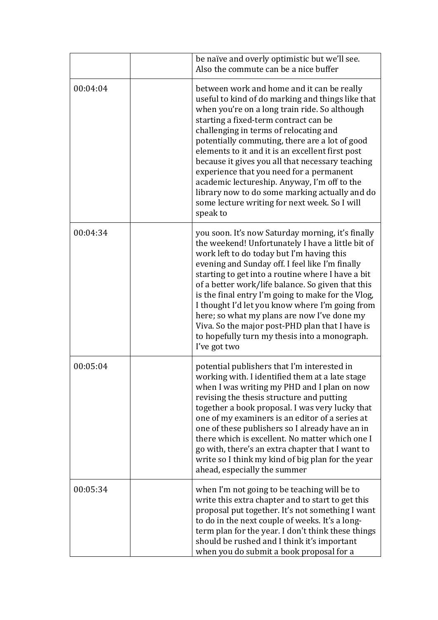|          | be naïve and overly optimistic but we'll see.<br>Also the commute can be a nice buffer                                                                                                                                                                                                                                                                                                                                                                                                                                                                                                                   |
|----------|----------------------------------------------------------------------------------------------------------------------------------------------------------------------------------------------------------------------------------------------------------------------------------------------------------------------------------------------------------------------------------------------------------------------------------------------------------------------------------------------------------------------------------------------------------------------------------------------------------|
| 00:04:04 | between work and home and it can be really<br>useful to kind of do marking and things like that<br>when you're on a long train ride. So although<br>starting a fixed-term contract can be<br>challenging in terms of relocating and<br>potentially commuting, there are a lot of good<br>elements to it and it is an excellent first post<br>because it gives you all that necessary teaching<br>experience that you need for a permanent<br>academic lectureship. Anyway, I'm off to the<br>library now to do some marking actually and do<br>some lecture writing for next week. So I will<br>speak to |
| 00:04:34 | you soon. It's now Saturday morning, it's finally<br>the weekend! Unfortunately I have a little bit of<br>work left to do today but I'm having this<br>evening and Sunday off. I feel like I'm finally<br>starting to get into a routine where I have a bit<br>of a better work/life balance. So given that this<br>is the final entry I'm going to make for the Vlog,<br>I thought I'd let you know where I'm going from<br>here; so what my plans are now I've done my<br>Viva. So the major post-PHD plan that I have is<br>to hopefully turn my thesis into a monograph.<br>I've got two             |
| 00:05:04 | potential publishers that I'm interested in<br>working with. I identified them at a late stage<br>when I was writing my PHD and I plan on now<br>revising the thesis structure and putting<br>together a book proposal. I was very lucky that<br>one of my examiners is an editor of a series at<br>one of these publishers so I already have an in<br>there which is excellent. No matter which one I<br>go with, there's an extra chapter that I want to<br>write so I think my kind of big plan for the year<br>ahead, especially the summer                                                          |
| 00:05:34 | when I'm not going to be teaching will be to<br>write this extra chapter and to start to get this<br>proposal put together. It's not something I want<br>to do in the next couple of weeks. It's a long-<br>term plan for the year. I don't think these things<br>should be rushed and I think it's important<br>when you do submit a book proposal for a                                                                                                                                                                                                                                                |